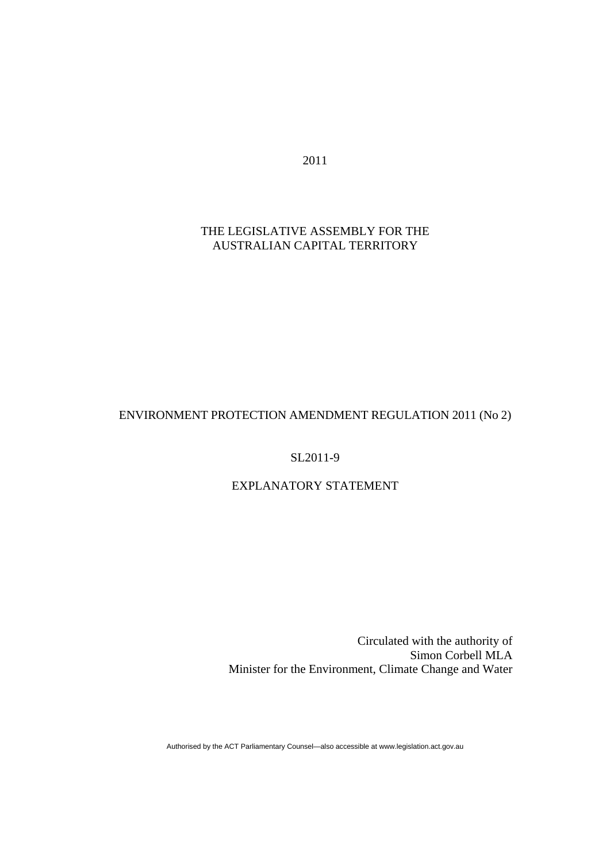2011

# THE LEGISLATIVE ASSEMBLY FOR THE AUSTRALIAN CAPITAL TERRITORY

## ENVIRONMENT PROTECTION AMENDMENT REGULATION 2011 (No 2)

### SL2011-9

# EXPLANATORY STATEMENT

Circulated with the authority of Simon Corbell MLA Minister for the Environment, Climate Change and Water

Authorised by the ACT Parliamentary Counsel—also accessible at www.legislation.act.gov.au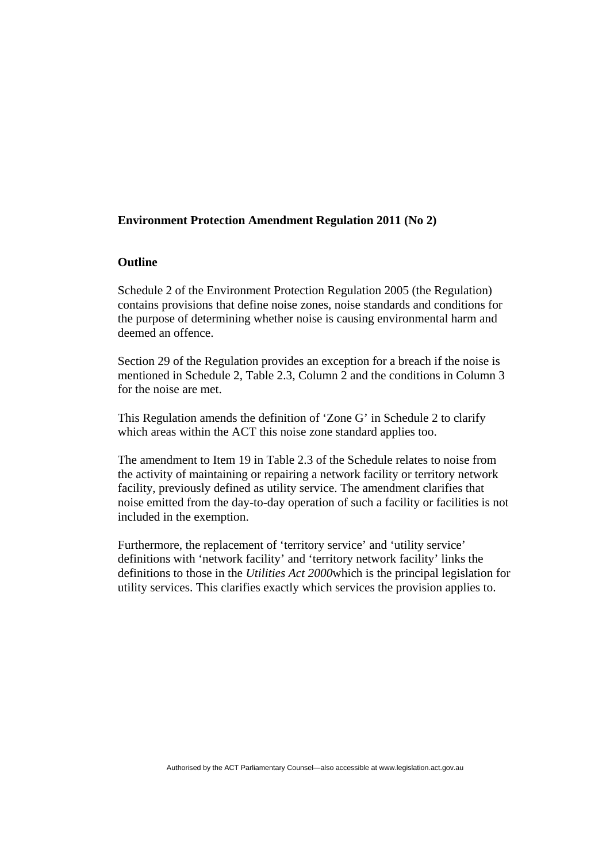### **Environment Protection Amendment Regulation 2011 (No 2)**

#### **Outline**

Schedule 2 of the Environment Protection Regulation 2005 (the Regulation) contains provisions that define noise zones, noise standards and conditions for the purpose of determining whether noise is causing environmental harm and deemed an offence.

Section 29 of the Regulation provides an exception for a breach if the noise is mentioned in Schedule 2, Table 2.3, Column 2 and the conditions in Column 3 for the noise are met.

This Regulation amends the definition of 'Zone G' in Schedule 2 to clarify which areas within the ACT this noise zone standard applies too.

The amendment to Item 19 in Table 2.3 of the Schedule relates to noise from the activity of maintaining or repairing a network facility or territory network facility, previously defined as utility service. The amendment clarifies that noise emitted from the day-to-day operation of such a facility or facilities is not included in the exemption.

Furthermore, the replacement of 'territory service' and 'utility service' definitions with 'network facility' and 'territory network facility' links the definitions to those in the *Utilities Act 2000*which is the principal legislation for utility services. This clarifies exactly which services the provision applies to.